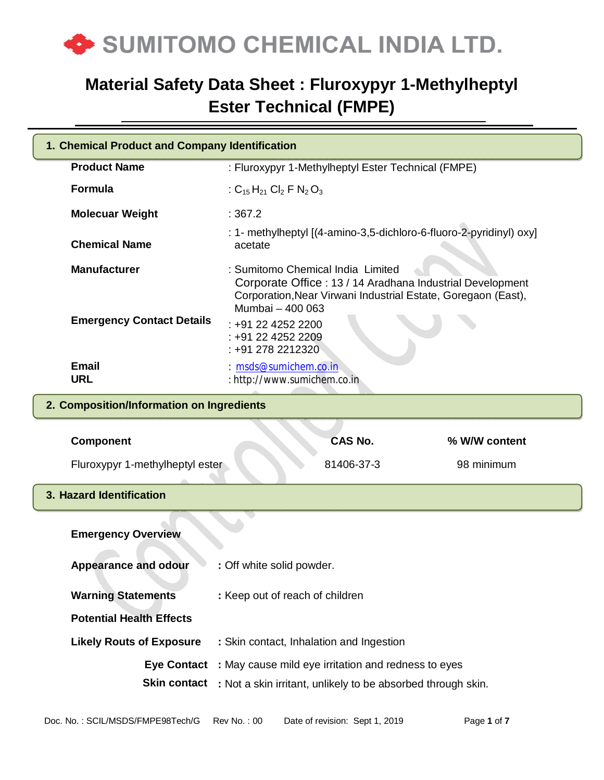

| 1. Chemical Product and Company Identification                            |                                                                                                                                                                                     |  |  |  |  |
|---------------------------------------------------------------------------|-------------------------------------------------------------------------------------------------------------------------------------------------------------------------------------|--|--|--|--|
| <b>Product Name</b><br>: Fluroxypyr 1-Methylheptyl Ester Technical (FMPE) |                                                                                                                                                                                     |  |  |  |  |
| <b>Formula</b>                                                            | : $C_{15}H_{21}$ Cl <sub>2</sub> F N <sub>2</sub> O <sub>3</sub>                                                                                                                    |  |  |  |  |
| <b>Molecuar Weight</b>                                                    | :367.2                                                                                                                                                                              |  |  |  |  |
| <b>Chemical Name</b>                                                      | : 1- methylheptyl [(4-amino-3,5-dichloro-6-fluoro-2-pyridinyl) oxy]<br>acetate                                                                                                      |  |  |  |  |
| <b>Manufacturer</b>                                                       | : Sumitomo Chemical India Limited<br>Corporate Office: 13 / 14 Aradhana Industrial Development<br>Corporation, Near Virwani Industrial Estate, Goregaon (East),<br>Mumbai - 400 063 |  |  |  |  |
| <b>Emergency Contact Details</b>                                          | $: +912242522200$<br>: +91 22 4252 2209<br>: +91 278 2212320                                                                                                                        |  |  |  |  |
| <b>Email</b><br><b>URL</b>                                                | : msds@sumichem.co.in<br>: http://www.sumichem.co.in                                                                                                                                |  |  |  |  |
|                                                                           | 2. Composition/Information on Ingredients                                                                                                                                           |  |  |  |  |
| <b>Component</b>                                                          | <b>CAS No.</b><br>% W/W content                                                                                                                                                     |  |  |  |  |
| Fluroxypyr 1-methylheptyl ester                                           | 81406-37-3<br>98 minimum                                                                                                                                                            |  |  |  |  |
| 3. Hazard Identification                                                  |                                                                                                                                                                                     |  |  |  |  |
| <b>Emergency Overview</b>                                                 |                                                                                                                                                                                     |  |  |  |  |
| <b>Appearance and odour</b>                                               | : Off white solid powder.                                                                                                                                                           |  |  |  |  |
| <b>Warning Statements</b>                                                 | : Keep out of reach of children                                                                                                                                                     |  |  |  |  |
| <b>Potential Health Effects</b>                                           |                                                                                                                                                                                     |  |  |  |  |
| <b>Likely Routs of Exposure</b>                                           | : Skin contact, Inhalation and Ingestion                                                                                                                                            |  |  |  |  |
| <b>Eye Contact</b>                                                        | : May cause mild eye irritation and redness to eyes                                                                                                                                 |  |  |  |  |
|                                                                           | <b>Skin contact</b> : Not a skin irritant, unlikely to be absorbed through skin.                                                                                                    |  |  |  |  |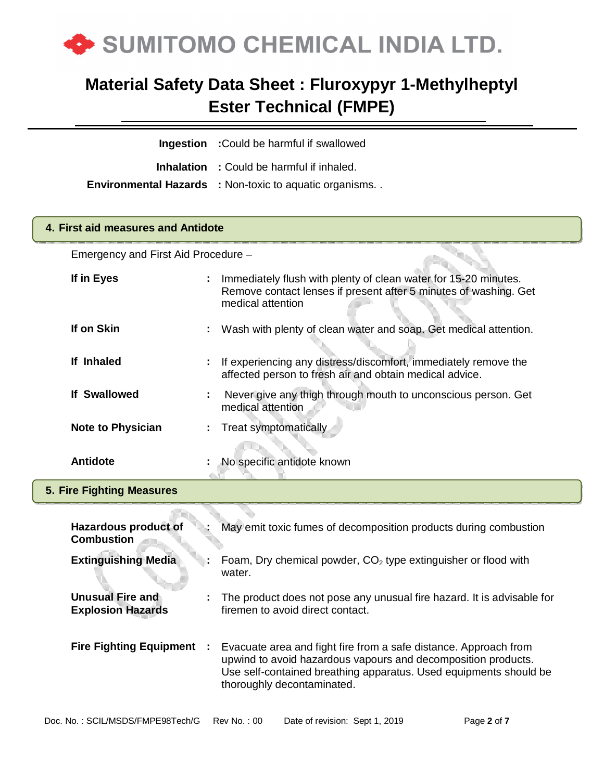

**Ingestion :**Could be harmful if swallowed

**Inhalation :** Could be harmful if inhaled.

**Environmental Hazards :** Non-toxic to aquatic organisms. .

### **4. First aid measures and Antidote**

Emergency and First Aid Procedure –

| If in Eyes                                          |   | Immediately flush with plenty of clean water for 15-20 minutes.<br>Remove contact lenses if present after 5 minutes of washing. Get<br>medical attention |
|-----------------------------------------------------|---|----------------------------------------------------------------------------------------------------------------------------------------------------------|
| If on Skin                                          |   | Wash with plenty of clean water and soap. Get medical attention.                                                                                         |
| If Inhaled                                          |   | If experiencing any distress/discomfort, immediately remove the<br>affected person to fresh air and obtain medical advice.                               |
| <b>If Swallowed</b>                                 | ÷ | Never give any thigh through mouth to unconscious person. Get<br>medical attention                                                                       |
| <b>Note to Physician</b>                            | ÷ | <b>Treat symptomatically</b>                                                                                                                             |
| <b>Antidote</b>                                     |   | No specific antidote known                                                                                                                               |
| <b>5. Fire Fighting Measures</b>                    |   |                                                                                                                                                          |
|                                                     |   |                                                                                                                                                          |
| <b>Hazardous product of</b><br><b>Combustion</b>    |   | May emit toxic fumes of decomposition products during combustion                                                                                         |
| <b>Extinguishing Media</b>                          |   | Foam, Dry chemical powder, $CO2$ type extinguisher or flood with<br>water.                                                                               |
|                                                     |   |                                                                                                                                                          |
| <b>Unusual Fire and</b><br><b>Explosion Hazards</b> |   | The product does not pose any unusual fire hazard. It is advisable for<br>firemen to avoid direct contact.                                               |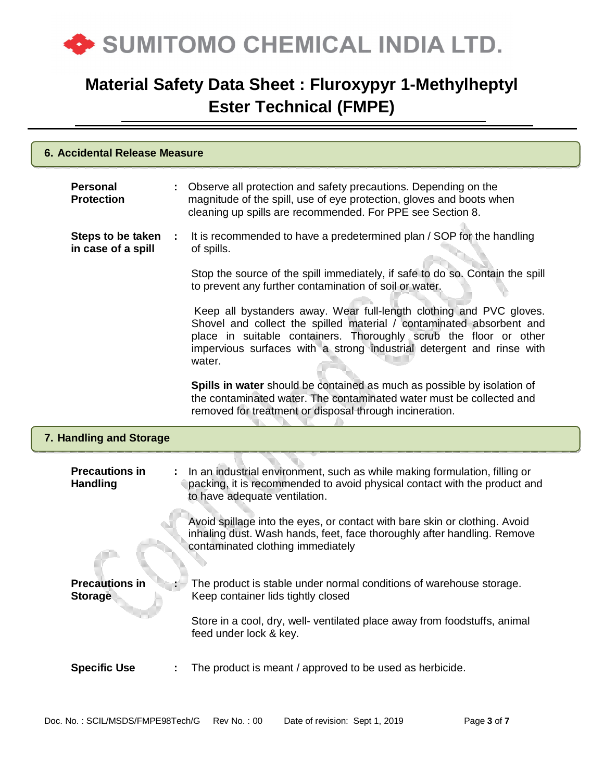

| 6. Accidental Release Measure            |  |                                                                                                                                                                                                                                                                                                     |  |
|------------------------------------------|--|-----------------------------------------------------------------------------------------------------------------------------------------------------------------------------------------------------------------------------------------------------------------------------------------------------|--|
| Personal<br><b>Protection</b>            |  | Observe all protection and safety precautions. Depending on the<br>magnitude of the spill, use of eye protection, gloves and boots when<br>cleaning up spills are recommended. For PPE see Section 8.                                                                                               |  |
| Steps to be taken<br>in case of a spill  |  | It is recommended to have a predetermined plan / SOP for the handling<br>of spills.                                                                                                                                                                                                                 |  |
|                                          |  | Stop the source of the spill immediately, if safe to do so. Contain the spill<br>to prevent any further contamination of soil or water.                                                                                                                                                             |  |
|                                          |  | Keep all bystanders away. Wear full-length clothing and PVC gloves.<br>Shovel and collect the spilled material / contaminated absorbent and<br>place in suitable containers. Thoroughly scrub the floor or other<br>impervious surfaces with a strong industrial detergent and rinse with<br>water. |  |
|                                          |  | Spills in water should be contained as much as possible by isolation of<br>the contaminated water. The contaminated water must be collected and<br>removed for treatment or disposal through incineration.                                                                                          |  |
| 7. Handling and Storage                  |  |                                                                                                                                                                                                                                                                                                     |  |
| <b>Precautions in</b><br><b>Handling</b> |  | In an industrial environment, such as while making formulation, filling or<br>packing, it is recommended to avoid physical contact with the product and<br>to have adequate ventilation.                                                                                                            |  |
|                                          |  | Avoid spillage into the eyes, or contact with bare skin or clothing. Avoid<br>inhaling dust. Wash hands, feet, face thoroughly after handling. Remove<br>contaminated clothing immediately                                                                                                          |  |
| <b>Precautions in</b><br><b>Storage</b>  |  | The product is stable under normal conditions of warehouse storage.<br>Keep container lids tightly closed                                                                                                                                                                                           |  |
|                                          |  | Store in a cool, dry, well- ventilated place away from foodstuffs, animal<br>feed under lock & key.                                                                                                                                                                                                 |  |
| <b>Specific Use</b>                      |  | The product is meant / approved to be used as herbicide.                                                                                                                                                                                                                                            |  |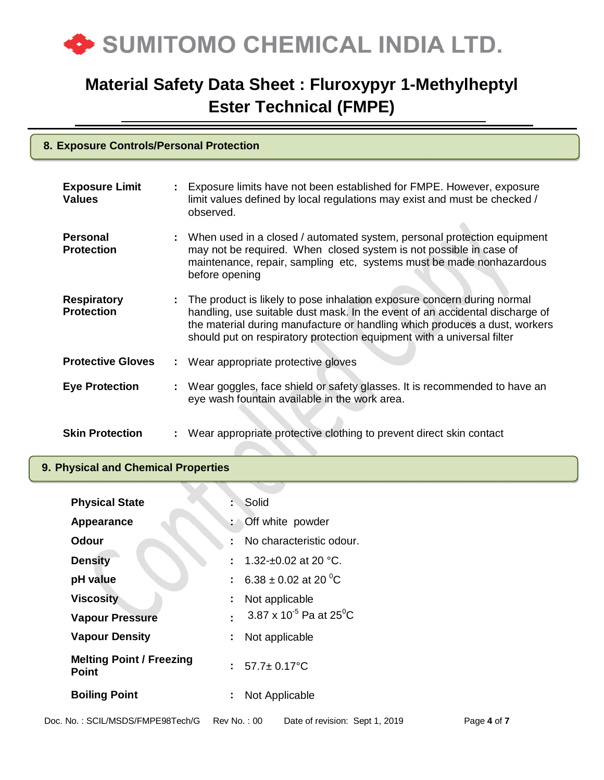

#### **8. Exposure Controls/Personal Protection**

| <b>Exposure Limit</b><br><b>Values</b>  | Exposure limits have not been established for FMPE. However, exposure<br>limit values defined by local regulations may exist and must be checked /<br>observed.                                                                                                                                                 |
|-----------------------------------------|-----------------------------------------------------------------------------------------------------------------------------------------------------------------------------------------------------------------------------------------------------------------------------------------------------------------|
| <b>Personal</b><br><b>Protection</b>    | When used in a closed / automated system, personal protection equipment<br>may not be required. When closed system is not possible in case of<br>maintenance, repair, sampling etc, systems must be made nonhazardous<br>before opening                                                                         |
| <b>Respiratory</b><br><b>Protection</b> | The product is likely to pose inhalation exposure concern during normal<br>handling, use suitable dust mask. In the event of an accidental discharge of<br>the material during manufacture or handling which produces a dust, workers<br>should put on respiratory protection equipment with a universal filter |
| <b>Protective Gloves</b>                | : Wear appropriate protective gloves                                                                                                                                                                                                                                                                            |
| <b>Eye Protection</b>                   | : Wear goggles, face shield or safety glasses. It is recommended to have an<br>eye wash fountain available in the work area.                                                                                                                                                                                    |
| <b>Skin Protection</b>                  | Wear appropriate protective clothing to prevent direct skin contact                                                                                                                                                                                                                                             |

#### **9. Physical and Chemical Properties**

| <b>Physical State</b>                           | Solid                                           |
|-------------------------------------------------|-------------------------------------------------|
| Appearance                                      | : Off white powder                              |
| Odour                                           | No characteristic odour.                        |
| <b>Density</b>                                  | 1.32-±0.02 at 20 °C.                            |
| pH value                                        | : 6.38 ± 0.02 at 20 <sup>o</sup> C              |
| <b>Viscosity</b>                                | Not applicable<br>÷                             |
| <b>Vapour Pressure</b>                          | 3.87 x 10 <sup>-5</sup> Pa at 25 <sup>°</sup> C |
| <b>Vapour Density</b>                           | Not applicable<br>÷                             |
| <b>Melting Point / Freezing</b><br><b>Point</b> | $57.7 \pm 0.17$ °C<br>$\mathbb{R}^{\mathbb{Z}}$ |
| <b>Boiling Point</b>                            | Not Applicable<br>÷                             |
|                                                 |                                                 |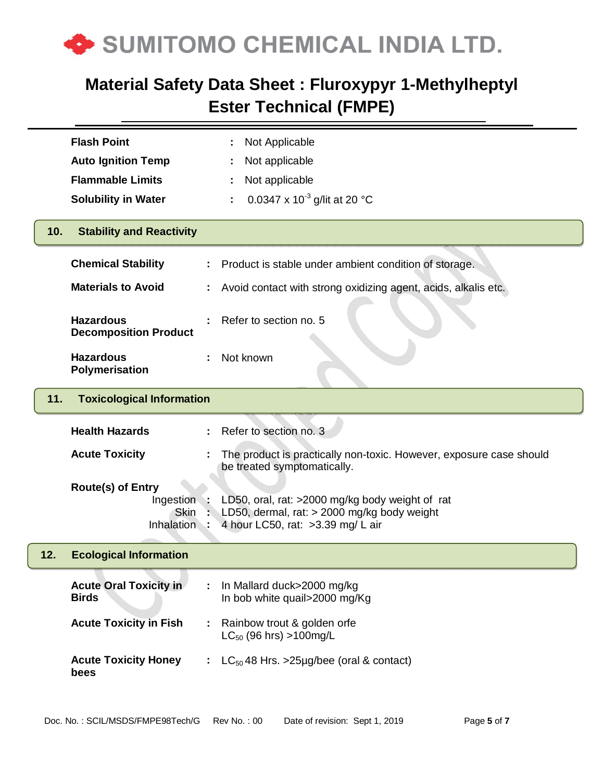

|     | <b>Flash Point</b>                               | Not Applicable                                                                                                                      |
|-----|--------------------------------------------------|-------------------------------------------------------------------------------------------------------------------------------------|
|     | <b>Auto Ignition Temp</b>                        | Not applicable                                                                                                                      |
|     | <b>Flammable Limits</b>                          | Not applicable                                                                                                                      |
|     | <b>Solubility in Water</b>                       | 0.0347 x 10 <sup>-3</sup> g/lit at 20 °C                                                                                            |
| 10. | <b>Stability and Reactivity</b>                  |                                                                                                                                     |
|     | <b>Chemical Stability</b>                        | Product is stable under ambient condition of storage.                                                                               |
|     | <b>Materials to Avoid</b>                        | Avoid contact with strong oxidizing agent, acids, alkalis etc.                                                                      |
|     | <b>Hazardous</b><br><b>Decomposition Product</b> | Refer to section no. 5                                                                                                              |
|     | <b>Hazardous</b><br><b>Polymerisation</b>        | Not known                                                                                                                           |
| 11. | <b>Toxicological Information</b>                 |                                                                                                                                     |
|     |                                                  |                                                                                                                                     |
|     | <b>Health Hazards</b>                            | Refer to section no. 3                                                                                                              |
|     | <b>Acute Toxicity</b>                            | The product is practically non-toxic. However, exposure case should<br>be treated symptomatically.                                  |
|     | <b>Route(s) of Entry</b>                         |                                                                                                                                     |
|     | Ingestion<br><b>Skin</b><br><b>Inhalation</b>    | LD50, oral, rat: >2000 mg/kg body weight of rat<br>LD50, dermal, rat: > 2000 mg/kg body weight<br>4 hour LC50, rat: >3.39 mg/ L air |
| 12. | <b>Ecological Information</b>                    |                                                                                                                                     |
|     | <b>Acute Oral Toxicity in</b><br><b>Birds</b>    | In Mallard duck>2000 mg/kg<br>In bob white quail>2000 mg/Kg                                                                         |
|     | <b>Acute Toxicity in Fish</b>                    | Rainbow trout & golden orfe<br>$LC_{50}$ (96 hrs) >100mg/L                                                                          |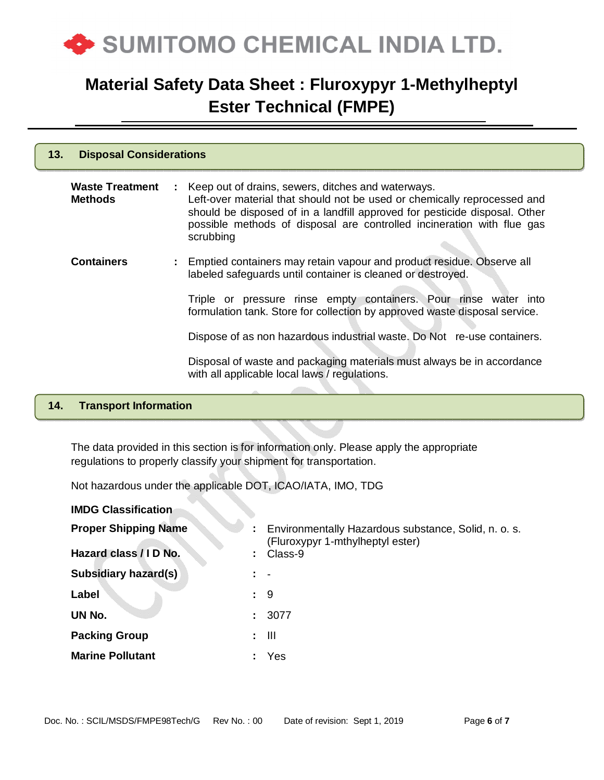

| 13. | <b>Disposal Considerations</b>           |  |                                                                                                                                                                                                                                                                                                       |  |
|-----|------------------------------------------|--|-------------------------------------------------------------------------------------------------------------------------------------------------------------------------------------------------------------------------------------------------------------------------------------------------------|--|
|     | <b>Waste Treatment</b><br><b>Methods</b> |  | : Keep out of drains, sewers, ditches and waterways.<br>Left-over material that should not be used or chemically reprocessed and<br>should be disposed of in a landfill approved for pesticide disposal. Other<br>possible methods of disposal are controlled incineration with flue gas<br>scrubbing |  |
|     | <b>Containers</b>                        |  | : Emptied containers may retain vapour and product residue. Observe all<br>labeled safeguards until container is cleaned or destroyed.                                                                                                                                                                |  |
|     |                                          |  | Triple or pressure rinse empty containers. Pour rinse water into<br>formulation tank. Store for collection by approved waste disposal service.                                                                                                                                                        |  |
|     |                                          |  | Dispose of as non hazardous industrial waste. Do Not re-use containers.                                                                                                                                                                                                                               |  |
|     |                                          |  | Disposal of waste and packaging materials must always be in accordance<br>with all applicable local laws / regulations.                                                                                                                                                                               |  |
|     |                                          |  |                                                                                                                                                                                                                                                                                                       |  |

#### **14. Transport Information**

The data provided in this section is for information only. Please apply the appropriate regulations to properly classify your shipment for transportation.

Not hazardous under the applicable DOT, ICAO/IATA, IMO, TDG

| <b>IMDG Classification</b>  |    |                                                                                          |
|-----------------------------|----|------------------------------------------------------------------------------------------|
| <b>Proper Shipping Name</b> | ÷. | Environmentally Hazardous substance, Solid, n. o. s.<br>(Fluroxypyr 1-mthylheptyl ester) |
| Hazard class / I D No.      | ÷. | Class-9                                                                                  |
| <b>Subsidiary hazard(s)</b> |    |                                                                                          |
| Label                       |    | : 9                                                                                      |
| UN No.                      | t. | 3077                                                                                     |
| <b>Packing Group</b>        | ÷. | Ш                                                                                        |
| <b>Marine Pollutant</b>     |    | Yes                                                                                      |